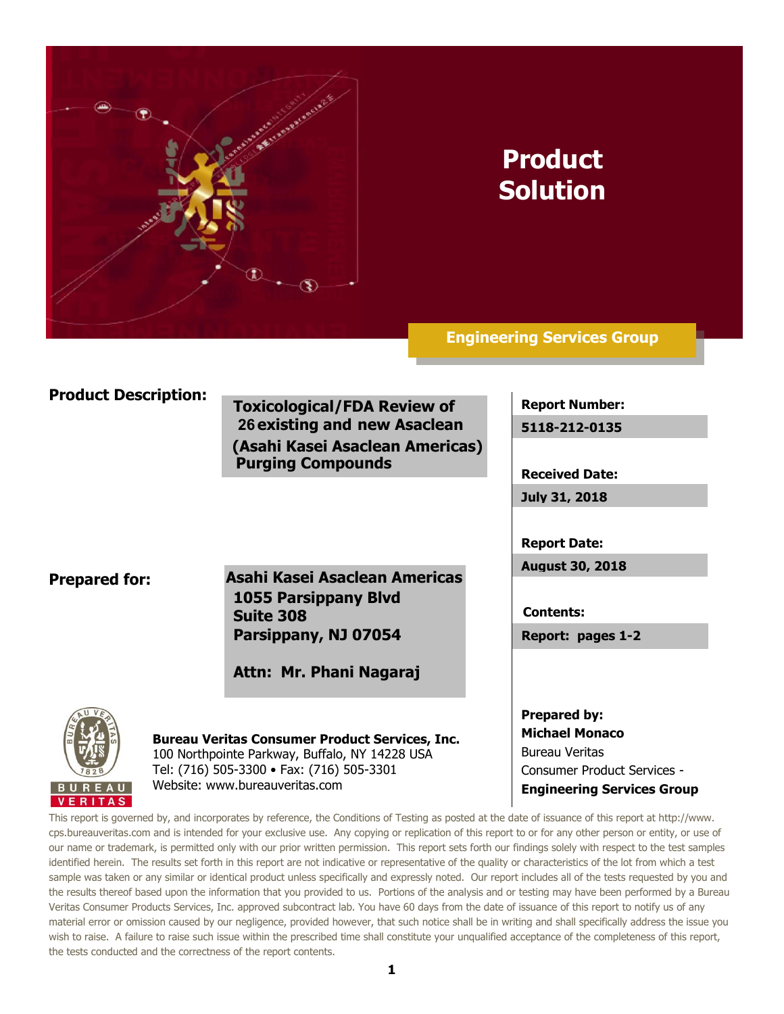

# **Product Solution**

**Engineering Services Group**

## **Product Description:**

**Toxicological/FDA Review of 26 existing and new Asaclean (Asahi Kasei Asaclean Americas) Purging Compounds**

**Report Number:**

**5118-212-0135**

**Received Date:**

**July 31, 2018**

**Report Date:**

**August 30, 2018**

**Contents:**

**Report: pages 1-2**

**Prepared by: Michael Monaco** Bureau Veritas Consumer Product Services - **Engineering Services Group**

### **Prepared for:**

**Asahi Kasei Asaclean Americas 1055 Parsippany Blvd Suite 308 Parsippany, NJ 07054**

**Attn: Mr. Phani Nagaraj**



**Bureau Veritas Consumer Product Services, Inc.** 100 Northpointe Parkway, Buffalo, NY 14228 USA Tel: (716) 505-3300 • Fax: (716) 505-3301 Website: www.bureauveritas.com

This report is governed by, and incorporates by reference, the Conditions of Testing as posted at the date of issuance of this report at http://www. cps.bureauveritas.com and is intended for your exclusive use. Any copying or replication of this report to or for any other person or entity, or use of our name or trademark, is permitted only with our prior written permission. This report sets forth our findings solely with respect to the test samples identified herein. The results set forth in this report are not indicative or representative of the quality or characteristics of the lot from which a test sample was taken or any similar or identical product unless specifically and expressly noted. Our report includes all of the tests requested by you and the results thereof based upon the information that you provided to us. Portions of the analysis and or testing may have been performed by a Bureau Veritas Consumer Products Services, Inc. approved subcontract lab. You have 60 days from the date of issuance of this report to notify us of any material error or omission caused by our negligence, provided however, that such notice shall be in writing and shall specifically address the issue you wish to raise. A failure to raise such issue within the prescribed time shall constitute your unqualified acceptance of the completeness of this report, the tests conducted and the correctness of the report contents.